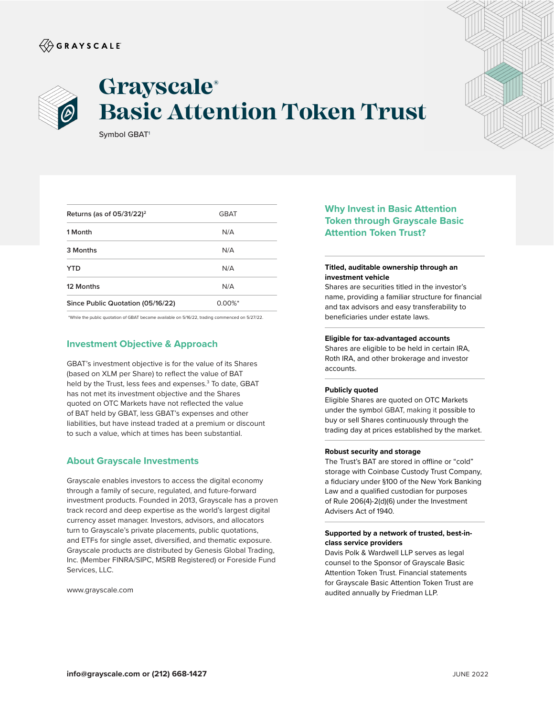## $\langle\!\!\!\langle\hat{\mathbin{\hspace{1.5pt}\circ}}$  G R A Y S C A L E



# **Grayscale® Basic Attention Token Trust**

Symbol GBAT<sup>1</sup>

| Returns (as of $05/31/22$ ) <sup>2</sup> | <b>GBAT</b> |  |
|------------------------------------------|-------------|--|
| 1 Month                                  | N/A         |  |
| 3 Months                                 | N/A         |  |
| <b>YTD</b>                               | N/A         |  |
| 12 Months                                | N/A         |  |
| Since Public Quotation (05/16/22)        | $0.00\%$ *  |  |

\*While the public quotation of GBAT became available on 5/16/22, trading commenced on 5/27/22.

## **Investment Objective & Approach**

GBAT's investment objective is for the value of its Shares (based on XLM per Share) to reflect the value of BAT held by the Trust, less fees and expenses.<sup>3</sup> To date, GBAT has not met its investment objective and the Shares quoted on OTC Markets have not reflected the value of BAT held by GBAT, less GBAT's expenses and other liabilities, but have instead traded at a premium or discount to such a value, which at times has been substantial.

### **About Grayscale Investments**

Grayscale enables investors to access the digital economy through a family of secure, regulated, and future-forward investment products. Founded in 2013, Grayscale has a proven track record and deep expertise as the world's largest digital currency asset manager. Investors, advisors, and allocators turn to Grayscale's private placements, public quotations, and ETFs for single asset, diversified, and thematic exposure. Grayscale products are distributed by Genesis Global Trading, Inc. (Member FINRA/SIPC, MSRB Registered) or Foreside Fund Services, LLC.

www.grayscale.com

## **Why Invest in Basic Attention Token through Grayscale Basic Attention Token Trust?**

#### **Titled, auditable ownership through an investment vehicle**

Shares are securities titled in the investor's name, providing a familiar structure for financial and tax advisors and easy transferability to beneficiaries under estate laws.

#### **Eligible for tax-advantaged accounts**

Shares are eligible to be held in certain IRA, Roth IRA, and other brokerage and investor accounts.

#### **Publicly quoted**

Eligible Shares are quoted on OTC Markets under the symbol GBAT, making it possible to buy or sell Shares continuously through the trading day at prices established by the market.

#### **Robust security and storage**

The Trust's BAT are stored in offline or "cold" storage with Coinbase Custody Trust Company, a fiduciary under §100 of the New York Banking Law and a qualified custodian for purposes of Rule 206(4)-2(d)(6) under the Investment Advisers Act of 1940.

#### **Supported by a network of trusted, best-inclass service providers**

Davis Polk & Wardwell LLP serves as legal counsel to the Sponsor of Grayscale Basic Attention Token Trust. Financial statements for Grayscale Basic Attention Token Trust are audited annually by Friedman LLP.